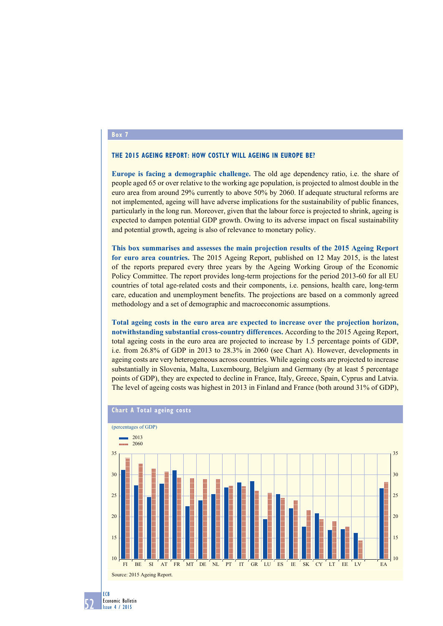## **Box 7**

## **The 2015 Ageing Report: how costly will ageing in Europe be?**

**Europe is facing a demographic challenge.** The old age dependency ratio, i.e. the share of people aged 65 or over relative to the working age population, is projected to almost double in the euro area from around 29% currently to above 50% by 2060. If adequate structural reforms are not implemented, ageing will have adverse implications for the sustainability of public finances, particularly in the long run. Moreover, given that the labour force is projected to shrink, ageing is expected to dampen potential GDP growth. Owing to its adverse impact on fiscal sustainability and potential growth, ageing is also of relevance to monetary policy.

**This box summarises and assesses the main projection results of the 2015 Ageing Report for euro area countries.** The 2015 Ageing Report, published on 12 May 2015, is the latest of the reports prepared every three years by the Ageing Working Group of the Economic Policy Committee. The report provides long-term projections for the period 2013-60 for all EU countries of total age-related costs and their components, i.e. pensions, health care, long-term care, education and unemployment benefits. The projections are based on a commonly agreed methodology and a set of demographic and macroeconomic assumptions.

**Total ageing costs in the euro area are expected to increase over the projection horizon, notwithstanding substantial cross-country differences.** According to the 2015 Ageing Report, total ageing costs in the euro area are projected to increase by 1.5 percentage points of GDP, i.e. from 26.8% of GDP in 2013 to 28.3% in 2060 (see Chart A). However, developments in ageing costs are very heterogeneous across countries. While ageing costs are projected to increase substantially in Slovenia, Malta, Luxembourg, Belgium and Germany (by at least 5 percentage points of GDP), they are expected to decline in France, Italy, Greece, Spain, Cyprus and Latvia. The level of ageing costs was highest in 2013 in Finland and France (both around 31% of GDP),



## **Chart A Total ageing costs**

52 ECB Economic Bulletin Issue 4 / 2015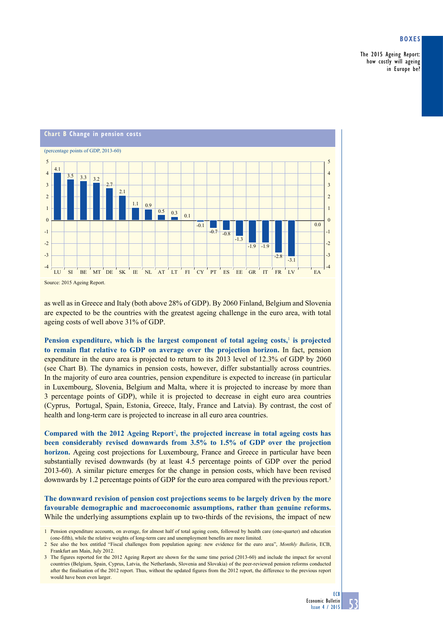## **Boxes**

The 2015 Ageing Report: how costly will ageing in Europe be?



as well as in Greece and Italy (both above 28% of GDP). By 2060 Finland, Belgium and Slovenia are expected to be the countries with the greatest ageing challenge in the euro area, with total ageing costs of well above 31% of GDP.

Pension expenditure, which is the largest component of total ageing costs,<sup>1</sup> is projected **to remain flat relative to GDP on average over the projection horizon.** In fact, pension expenditure in the euro area is projected to return to its 2013 level of 12.3% of GDP by 2060 (see Chart B). The dynamics in pension costs, however, differ substantially across countries. In the majority of euro area countries, pension expenditure is expected to increase (in particular in Luxembourg, Slovenia, Belgium and Malta, where it is projected to increase by more than 3 percentage points of GDP), while it is projected to decrease in eight euro area countries (Cyprus, Portugal, Spain, Estonia, Greece, Italy, France and Latvia). By contrast, the cost of health and long-term care is projected to increase in all euro area countries.

**Compared with the 2012 Ageing Report**<sup>2</sup> **, the projected increase in total ageing costs has been considerably revised downwards from 3.5% to 1.5% of GDP over the projection horizon.** Ageing cost projections for Luxembourg, France and Greece in particular have been substantially revised downwards (by at least 4.5 percentage points of GDP over the period 2013-60). A similar picture emerges for the change in pension costs, which have been revised downwards by 1.2 percentage points of GDP for the euro area compared with the previous report.3

**The downward revision of pension cost projections seems to be largely driven by the more favourable demographic and macroeconomic assumptions, rather than genuine reforms.** While the underlying assumptions explain up to two-thirds of the revisions, the impact of new

<sup>1</sup> Pension expenditure accounts, on average, for almost half of total ageing costs, followed by health care (one-quarter) and education (one-fifth), while the relative weights of long-term care and unemployment benefits are more limited.

<sup>2</sup> See also the box entitled "Fiscal challenges from population ageing: new evidence for the euro area", *Monthly Bulletin*, ECB, Frankfurt am Main, July 2012.

<sup>3</sup> The figures reported for the 2012 Ageing Report are shown for the same time period (2013-60) and include the impact for several countries (Belgium, Spain, Cyprus, Latvia, the Netherlands, Slovenia and Slovakia) of the peer-reviewed pension reforms conducted after the finalisation of the 2012 report. Thus, without the updated figures from the 2012 report, the difference to the previous report would have been even larger.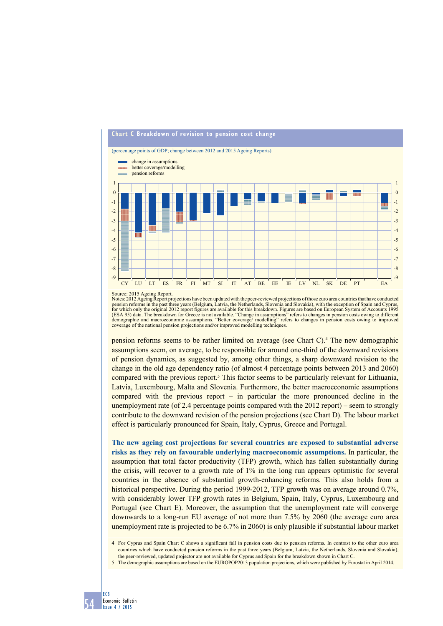

Source: 2015 Ageing Report.

Notes: 2012 Ageing Report projections have been updated with the peer-reviewed projections of those euro area countries that have conducted<br>pension reforms in the past three years (Belgium, Latvia, the Netherlands, Sloveni (ESA 95) data. The breakdown for Greece is not available. "Change in assumptions" refers to changes in pension costs owing to different<br>demographic and macroeconomic assumptions. "Better coverage/ modelling" refers to chan coverage of the national pension projections and/or improved modelling techniques.

pension reforms seems to be rather limited on average (see Chart C).4 The new demographic assumptions seem, on average, to be responsible for around one-third of the downward revisions of pension dynamics, as suggested by, among other things, a sharp downward revision to the change in the old age dependency ratio (of almost 4 percentage points between 2013 and 2060) compared with the previous report.<sup>5</sup> This factor seems to be particularly relevant for Lithuania, Latvia, Luxembourg, Malta and Slovenia. Furthermore, the better macroeconomic assumptions compared with the previous report – in particular the more pronounced decline in the unemployment rate (of 2.4 percentage points compared with the 2012 report) – seem to strongly contribute to the downward revision of the pension projections (see Chart D). The labour market effect is particularly pronounced for Spain, Italy, Cyprus, Greece and Portugal.

**The new ageing cost projections for several countries are exposed to substantial adverse risks as they rely on favourable underlying macroeconomic assumptions.** In particular, the assumption that total factor productivity (TFP) growth, which has fallen substantially during the crisis, will recover to a growth rate of 1% in the long run appears optimistic for several countries in the absence of substantial growth-enhancing reforms. This also holds from a historical perspective. During the period 1999-2012, TFP growth was on average around 0.7%, with considerably lower TFP growth rates in Belgium, Spain, Italy, Cyprus, Luxembourg and Portugal (see Chart E). Moreover, the assumption that the unemployment rate will converge downwards to a long-run EU average of not more than 7.5% by 2060 (the average euro area unemployment rate is projected to be 6.7% in 2060) is only plausible if substantial labour market

<sup>5</sup> The demographic assumptions are based on the EUROPOP2013 population projections, which were published by Eurostat in April 2014.



<sup>4</sup> For Cyprus and Spain Chart C shows a significant fall in pension costs due to pension reforms. In contrast to the other euro area countries which have conducted pension reforms in the past three years (Belgium, Latvia, the Netherlands, Slovenia and Slovakia), the peer-reviewed, updated projector are not available for Cyprus and Spain for the breakdown shown in Chart C.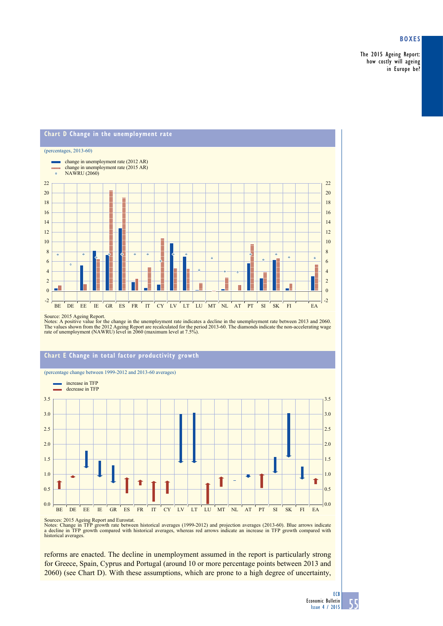# **Boxes**

The 2015 Ageing Report: how costly will ageing in Europe be?

#### **Chart D Change in the unemployment rate** (percentages, 2013-60) change in unemployment rate (2012 AR) mone. change in unemployment rate (2015 AR) NAWRU (2060) 22 22 20 20 18 18 16 16 14 14 12 12 10 10 8 8 é é  $\ddot{\bullet}$ 6 6 4 4 2 2 0  $\overline{0}$ -2 -2 BE DE EE IE GR ES FR IT CY LV LT LU MT NL AT PT SI SK FI EA

Source: 2015 Ageing Report.<br>Notes: A positive value for the change in the unemployment rate indicates a decline in the unemployment rate between 2013 and 2060.<br>The values shown from the 2012 Ageing Report are recalculated

# **chart E change in total factor productivity growth**

(percentage change between 1999-2012 and 2013-60 averages)



Sources: 2015 Ageing Report and Eurostat.<br>Notes: Change in TFP growth rate between historical averages (1999-2012) and projection averages (2013-60). Blue arrows indicate<br>a decline in TFP growth compared with historical av

reforms are enacted. The decline in unemployment assumed in the report is particularly strong for Greece, Spain, Cyprus and Portugal (around 10 or more percentage points between 2013 and 2060) (see Chart D). With these assumptions, which are prone to a high degree of uncertainty,